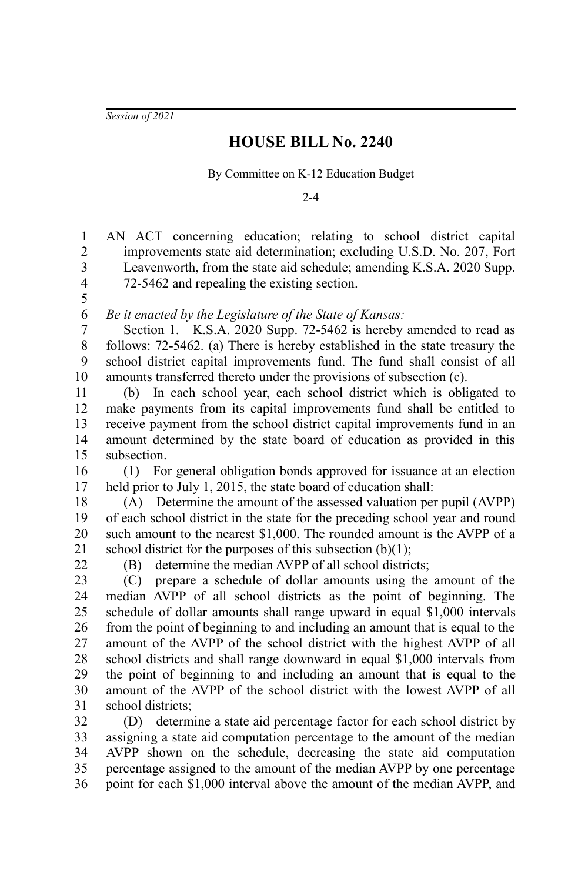*Session of 2021*

## **HOUSE BILL No. 2240**

By Committee on K-12 Education Budget

2-4

| $\mathbf{1}$            | AN ACT concerning education; relating to school district capital                                                                                    |
|-------------------------|-----------------------------------------------------------------------------------------------------------------------------------------------------|
| $\overline{c}$          | improvements state aid determination; excluding U.S.D. No. 207, Fort                                                                                |
| $\overline{\mathbf{3}}$ | Leavenworth, from the state aid schedule; amending K.S.A. 2020 Supp.                                                                                |
| $\overline{4}$          | 72-5462 and repealing the existing section.                                                                                                         |
| 5                       |                                                                                                                                                     |
| 6                       | Be it enacted by the Legislature of the State of Kansas:                                                                                            |
| $\boldsymbol{7}$        | Section 1. K.S.A. 2020 Supp. 72-5462 is hereby amended to read as                                                                                   |
| $8\,$                   | follows: 72-5462. (a) There is hereby established in the state treasury the                                                                         |
| 9                       | school district capital improvements fund. The fund shall consist of all                                                                            |
| 10                      | amounts transferred thereto under the provisions of subsection (c).                                                                                 |
| 11                      | (b) In each school year, each school district which is obligated to                                                                                 |
| 12                      | make payments from its capital improvements fund shall be entitled to                                                                               |
| 13                      | receive payment from the school district capital improvements fund in an                                                                            |
| 14                      | amount determined by the state board of education as provided in this                                                                               |
| 15                      | subsection.                                                                                                                                         |
| 16                      | For general obligation bonds approved for issuance at an election<br>(1)                                                                            |
| 17                      | held prior to July 1, 2015, the state board of education shall:                                                                                     |
| $18\,$                  | (A) Determine the amount of the assessed valuation per pupil (AVPP)                                                                                 |
| 19                      | of each school district in the state for the preceding school year and round                                                                        |
| 20                      | such amount to the nearest \$1,000. The rounded amount is the AVPP of a                                                                             |
| 21                      | school district for the purposes of this subsection $(b)(1)$ ;                                                                                      |
| 22                      | (B) determine the median AVPP of all school districts;                                                                                              |
| 23                      | (C) prepare a schedule of dollar amounts using the amount of the                                                                                    |
| 24                      | median AVPP of all school districts as the point of beginning. The                                                                                  |
| 25                      | schedule of dollar amounts shall range upward in equal \$1,000 intervals                                                                            |
| 26                      | from the point of beginning to and including an amount that is equal to the                                                                         |
| 27<br>28                | amount of the AVPP of the school district with the highest AVPP of all                                                                              |
| 29                      | school districts and shall range downward in equal \$1,000 intervals from<br>the point of beginning to and including an amount that is equal to the |
| 30                      | amount of the AVPP of the school district with the lowest AVPP of all                                                                               |
| 31                      | school districts;                                                                                                                                   |
| 32                      | (D) determine a state aid percentage factor for each school district by                                                                             |
| 33                      | assigning a state aid computation percentage to the amount of the median                                                                            |
| 34                      | AVPP shown on the schedule, decreasing the state aid computation                                                                                    |
| 35                      | percentage assigned to the amount of the median AVPP by one percentage                                                                              |
| 36                      | point for each \$1,000 interval above the amount of the median AVPP, and                                                                            |
|                         |                                                                                                                                                     |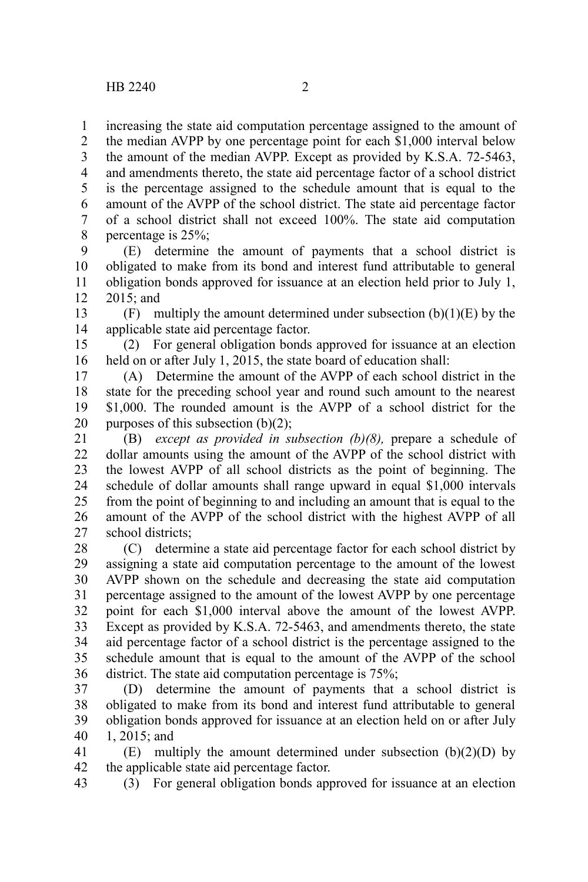increasing the state aid computation percentage assigned to the amount of 1

the median AVPP by one percentage point for each \$1,000 interval below the amount of the median AVPP. Except as provided by K.S.A. 72-5463, and amendments thereto, the state aid percentage factor of a school district is the percentage assigned to the schedule amount that is equal to the amount of the AVPP of the school district. The state aid percentage factor of a school district shall not exceed 100%. The state aid computation percentage is 25%; 2 3 4 5 6 7 8

(E) determine the amount of payments that a school district is obligated to make from its bond and interest fund attributable to general obligation bonds approved for issuance at an election held prior to July 1, 2015; and 9 10 11 12

(F) multiply the amount determined under subsection  $(b)(1)(E)$  by the applicable state aid percentage factor. 13 14

(2) For general obligation bonds approved for issuance at an election held on or after July 1, 2015, the state board of education shall: 15 16

(A) Determine the amount of the AVPP of each school district in the state for the preceding school year and round such amount to the nearest \$1,000. The rounded amount is the AVPP of a school district for the purposes of this subsection  $(b)(2)$ ; 17 18 19 20

(B) *except as provided in subsection (b)(8),* prepare a schedule of dollar amounts using the amount of the AVPP of the school district with the lowest AVPP of all school districts as the point of beginning. The schedule of dollar amounts shall range upward in equal \$1,000 intervals from the point of beginning to and including an amount that is equal to the amount of the AVPP of the school district with the highest AVPP of all school districts; 21 22 23 24 25 26 27

(C) determine a state aid percentage factor for each school district by assigning a state aid computation percentage to the amount of the lowest AVPP shown on the schedule and decreasing the state aid computation percentage assigned to the amount of the lowest AVPP by one percentage point for each \$1,000 interval above the amount of the lowest AVPP. Except as provided by K.S.A. 72-5463, and amendments thereto, the state aid percentage factor of a school district is the percentage assigned to the schedule amount that is equal to the amount of the AVPP of the school district. The state aid computation percentage is 75%; 28 29 30 31 32 33 34 35 36

(D) determine the amount of payments that a school district is obligated to make from its bond and interest fund attributable to general obligation bonds approved for issuance at an election held on or after July 1, 2015; and 37 38 39 40

 $(E)$  multiply the amount determined under subsection  $(b)(2)(D)$  by the applicable state aid percentage factor. 41 42

(3) For general obligation bonds approved for issuance at an election 43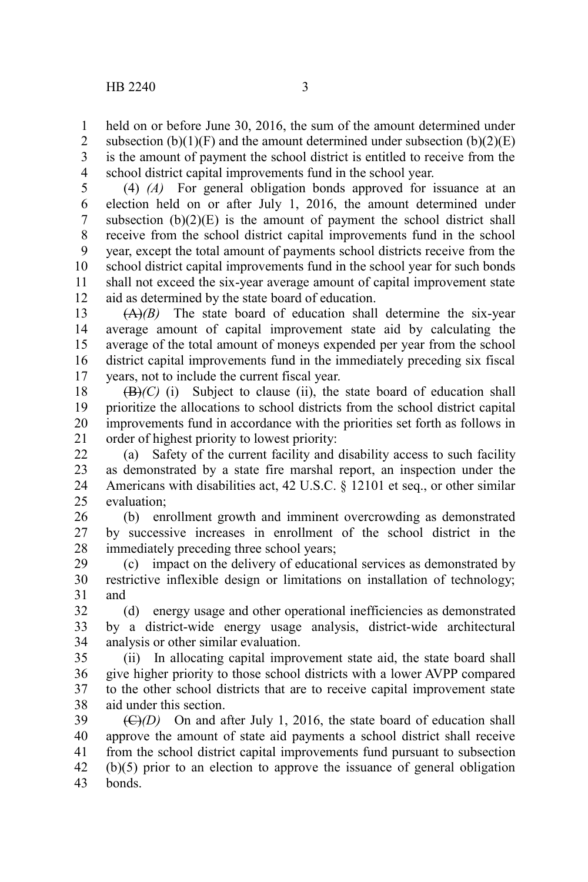held on or before June 30, 2016, the sum of the amount determined under 1

subsection  $(b)(1)(F)$  and the amount determined under subsection  $(b)(2)(E)$ is the amount of payment the school district is entitled to receive from the school district capital improvements fund in the school year.  $\mathcal{L}$ 3 4

(4) *(A)* For general obligation bonds approved for issuance at an election held on or after July 1, 2016, the amount determined under subsection  $(b)(2)(E)$  is the amount of payment the school district shall receive from the school district capital improvements fund in the school year, except the total amount of payments school districts receive from the school district capital improvements fund in the school year for such bonds shall not exceed the six-year average amount of capital improvement state aid as determined by the state board of education. 5 6 7 8 9 10 11 12

(A)*(B)* The state board of education shall determine the six-year average amount of capital improvement state aid by calculating the average of the total amount of moneys expended per year from the school district capital improvements fund in the immediately preceding six fiscal years, not to include the current fiscal year. 13 14 15 16 17

 $(\mathbf{B})$ <sup>(C)</sup> (i) Subject to clause (ii), the state board of education shall prioritize the allocations to school districts from the school district capital improvements fund in accordance with the priorities set forth as follows in order of highest priority to lowest priority: 18 19 20 21

(a) Safety of the current facility and disability access to such facility as demonstrated by a state fire marshal report, an inspection under the Americans with disabilities act, 42 U.S.C. § 12101 et seq., or other similar evaluation; 22 23 24  $25$ 

(b) enrollment growth and imminent overcrowding as demonstrated by successive increases in enrollment of the school district in the immediately preceding three school years; 26 27 28

(c) impact on the delivery of educational services as demonstrated by restrictive inflexible design or limitations on installation of technology; and 29 30 31

(d) energy usage and other operational inefficiencies as demonstrated by a district-wide energy usage analysis, district-wide architectural analysis or other similar evaluation. 32 33 34

(ii) In allocating capital improvement state aid, the state board shall give higher priority to those school districts with a lower AVPP compared to the other school districts that are to receive capital improvement state aid under this section. 35 36 37 38

 $(\bigoplus)(D)$  On and after July 1, 2016, the state board of education shall approve the amount of state aid payments a school district shall receive from the school district capital improvements fund pursuant to subsection (b)(5) prior to an election to approve the issuance of general obligation bonds. 39 40 41 42 43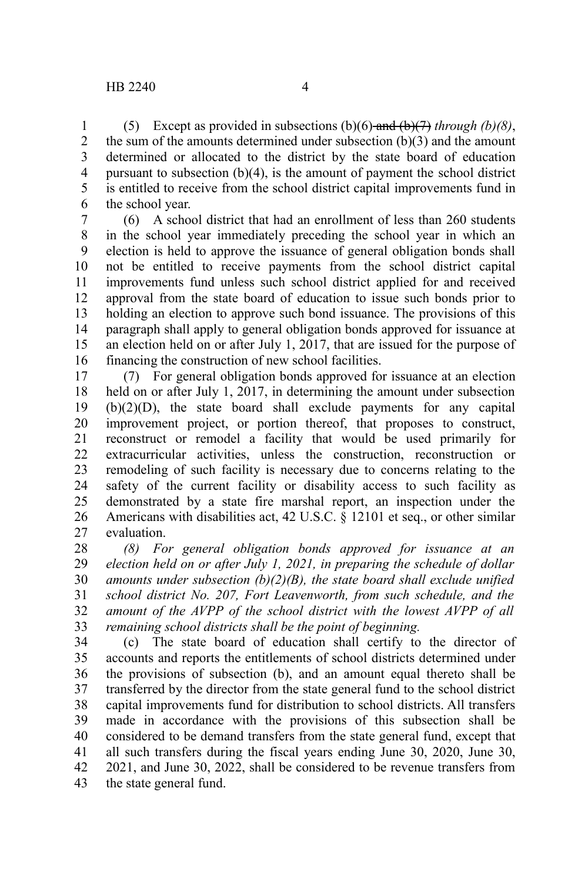(5) Except as provided in subsections (b)(6) and (b)(7) *through (b)(8)*, the sum of the amounts determined under subsection (b)(3) and the amount determined or allocated to the district by the state board of education pursuant to subsection (b)(4), is the amount of payment the school district is entitled to receive from the school district capital improvements fund in the school year. 1 2 3 4 5 6

(6) A school district that had an enrollment of less than 260 students in the school year immediately preceding the school year in which an election is held to approve the issuance of general obligation bonds shall not be entitled to receive payments from the school district capital improvements fund unless such school district applied for and received approval from the state board of education to issue such bonds prior to holding an election to approve such bond issuance. The provisions of this paragraph shall apply to general obligation bonds approved for issuance at an election held on or after July 1, 2017, that are issued for the purpose of financing the construction of new school facilities. 7 8 9 10 11 12 13 14 15 16

(7) For general obligation bonds approved for issuance at an election held on or after July 1, 2017, in determining the amount under subsection (b)(2)(D), the state board shall exclude payments for any capital improvement project, or portion thereof, that proposes to construct, reconstruct or remodel a facility that would be used primarily for extracurricular activities, unless the construction, reconstruction or remodeling of such facility is necessary due to concerns relating to the safety of the current facility or disability access to such facility as demonstrated by a state fire marshal report, an inspection under the Americans with disabilities act, 42 U.S.C. § 12101 et seq., or other similar evaluation. 17 18 19 20 21 22 23 24 25 26 27

*(8) For general obligation bonds approved for issuance at an election held on or after July 1, 2021, in preparing the schedule of dollar amounts under subsection (b)(2)(B), the state board shall exclude unified school district No. 207, Fort Leavenworth, from such schedule, and the amount of the AVPP of the school district with the lowest AVPP of all remaining school districts shall be the point of beginning.* 28 29 30 31 32 33

(c) The state board of education shall certify to the director of accounts and reports the entitlements of school districts determined under the provisions of subsection (b), and an amount equal thereto shall be transferred by the director from the state general fund to the school district capital improvements fund for distribution to school districts. All transfers made in accordance with the provisions of this subsection shall be considered to be demand transfers from the state general fund, except that all such transfers during the fiscal years ending June 30, 2020, June 30, 2021, and June 30, 2022, shall be considered to be revenue transfers from the state general fund. 34 35 36 37 38 39 40 41 42 43